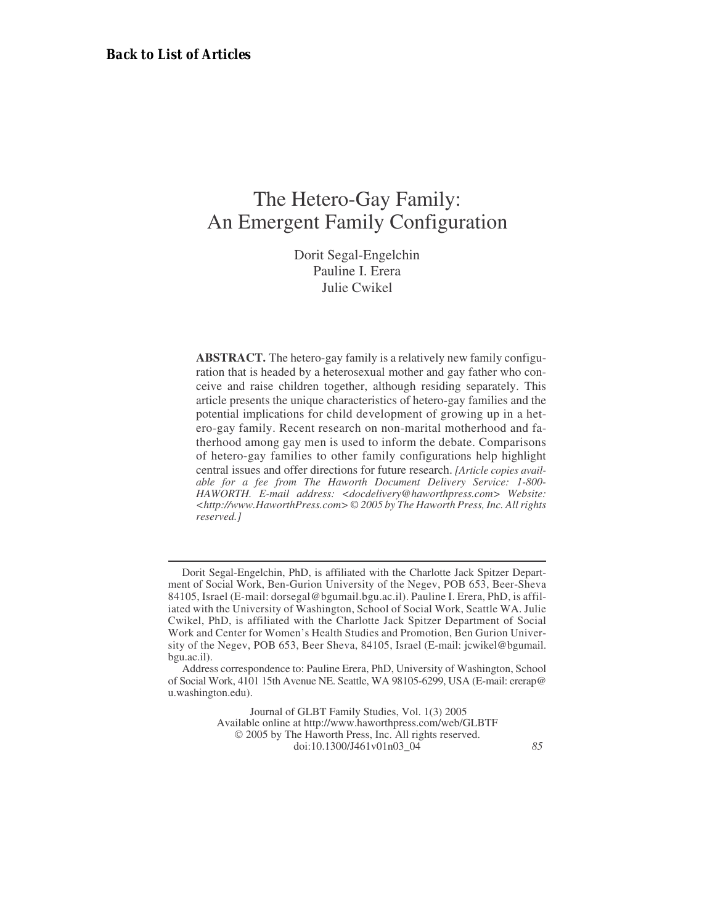# The Hetero-Gay Family: An Emergent Family Configuration

Dorit Segal-Engelchin Pauline I. Erera Julie Cwikel

**ABSTRACT.** The hetero-gay family is a relatively new family configuration that is headed by a heterosexual mother and gay father who conceive and raise children together, although residing separately. This article presents the unique characteristics of hetero-gay families and the potential implications for child development of growing up in a hetero-gay family. Recent research on non-marital motherhood and fatherhood among gay men is used to inform the debate. Comparisons of hetero-gay families to other family configurations help highlight central issues and offer directions for future research. *[Article copies available for a fee from The Haworth Document Delivery Service: 1-800- HAWORTH. E-mail address: <docdelivery@haworthpress.com> Website: [<http://www.HaworthPress.com> © 2005](http://www.HaworthPress.com>�2005) by The Haworth Press, Inc. All rights reserved.]*

Journal of GLBT Family Studies, Vol. 1(3) 2005 Available online at<http://www.haworthpress.com/web/GLBTF> 2005 by The Haworth Press, Inc. All rights reserved. doi:10.1300/J461v01n03\_04 *85*

Dorit Segal-Engelchin, PhD, is affiliated with the Charlotte Jack Spitzer Department of Social Work, Ben-Gurion University of the Negev, POB 653, Beer-Sheva 84105, Israel (E-mail: dorsegal@bgumail.bgu.ac.il). Pauline I. Erera, PhD, is affiliated with the University of Washington, School of Social Work, Seattle WA. Julie Cwikel, PhD, is affiliated with the Charlotte Jack Spitzer Department of Social Work and Center for Women's Health Studies and Promotion, Ben Gurion University of the Negev, POB 653, Beer Sheva, 84105, Israel (E-mail: jcwikel@bgumail. bgu.ac.il).

Address correspondence to: Pauline Erera, PhD, University of Washington, School of Social Work, 4101 15th Avenue NE. Seattle, WA 98105-6299, USA (E-mail: ererap@ u.washington.edu).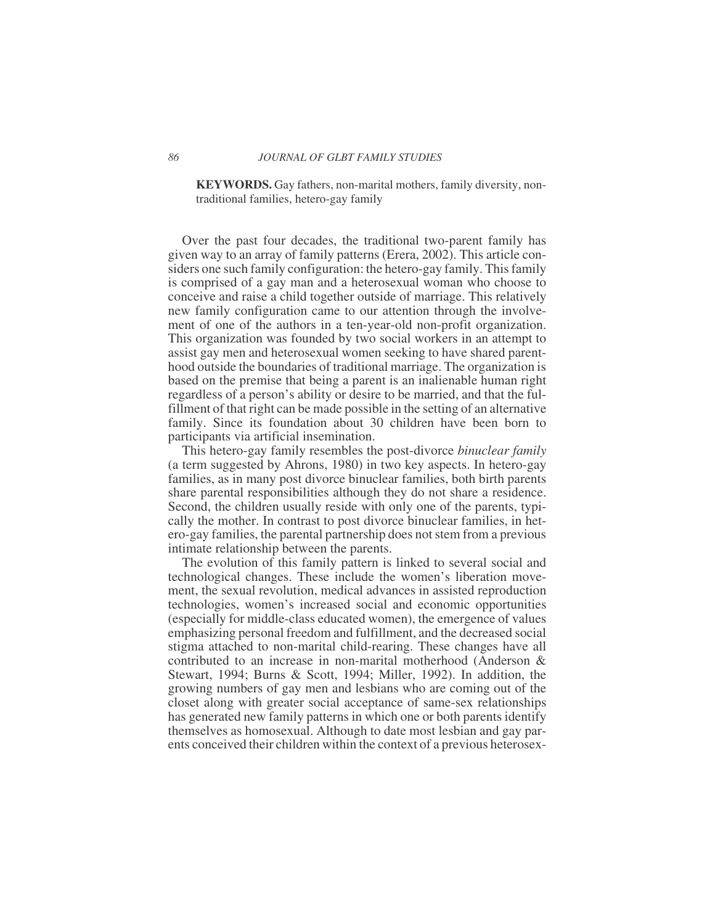**KEYWORDS.** Gay fathers, non-marital mothers, family diversity, nontraditional families, hetero-gay family

Over the past four decades, the traditional two-parent family has given way to an array of family patterns (Erera, 2002). This article considers one such family configuration: the hetero-gay family. This family is comprised of a gay man and a heterosexual woman who choose to conceive and raise a child together outside of marriage. This relatively new family configuration came to our attention through the involvement of one of the authors in a ten-year-old non-profit organization. This organization was founded by two social workers in an attempt to assist gay men and heterosexual women seeking to have shared parenthood outside the boundaries of traditional marriage. The organization is based on the premise that being a parent is an inalienable human right regardless of a person's ability or desire to be married, and that the fulfillment of that right can be made possible in the setting of an alternative family. Since its foundation about 30 children have been born to participants via artificial insemination.

This hetero-gay family resembles the post-divorce *binuclear family* (a term suggested by Ahrons, 1980) in two key aspects. In hetero-gay families, as in many post divorce binuclear families, both birth parents share parental responsibilities although they do not share a residence. Second, the children usually reside with only one of the parents, typically the mother. In contrast to post divorce binuclear families, in hetero-gay families, the parental partnership does not stem from a previous intimate relationship between the parents.

The evolution of this family pattern is linked to several social and technological changes. These include the women's liberation movement, the sexual revolution, medical advances in assisted reproduction technologies, women's increased social and economic opportunities (especially for middle-class educated women), the emergence of values emphasizing personal freedom and fulfillment, and the decreased social stigma attached to non-marital child-rearing. These changes have all contributed to an increase in non-marital motherhood (Anderson & Stewart, 1994; Burns & Scott, 1994; Miller, 1992). In addition, the growing numbers of gay men and lesbians who are coming out of the closet along with greater social acceptance of same-sex relationships has generated new family patterns in which one or both parents identify themselves as homosexual. Although to date most lesbian and gay parents conceived their children within the context of a previous heterosex-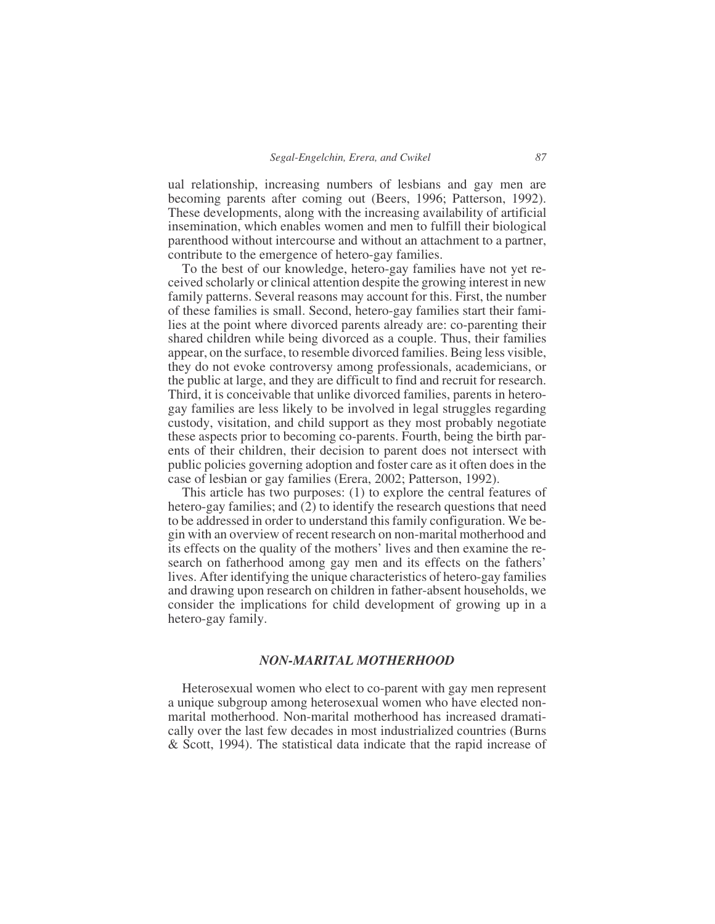ual relationship, increasing numbers of lesbians and gay men are becoming parents after coming out (Beers, 1996; Patterson, 1992). These developments, along with the increasing availability of artificial insemination, which enables women and men to fulfill their biological parenthood without intercourse and without an attachment to a partner, contribute to the emergence of hetero-gay families.

To the best of our knowledge, hetero-gay families have not yet received scholarly or clinical attention despite the growing interest in new family patterns. Several reasons may account for this. First, the number of these families is small. Second, hetero-gay families start their families at the point where divorced parents already are: co-parenting their shared children while being divorced as a couple. Thus, their families appear, on the surface, to resemble divorced families. Being less visible, they do not evoke controversy among professionals, academicians, or the public at large, and they are difficult to find and recruit for research. Third, it is conceivable that unlike divorced families, parents in heterogay families are less likely to be involved in legal struggles regarding custody, visitation, and child support as they most probably negotiate these aspects prior to becoming co-parents. Fourth, being the birth parents of their children, their decision to parent does not intersect with public policies governing adoption and foster care as it often does in the case of lesbian or gay families (Erera, 2002; Patterson, 1992).

This article has two purposes: (1) to explore the central features of hetero-gay families; and (2) to identify the research questions that need to be addressed in order to understand this family configuration. We begin with an overview of recent research on non-marital motherhood and its effects on the quality of the mothers' lives and then examine the research on fatherhood among gay men and its effects on the fathers' lives. After identifying the unique characteristics of hetero-gay families and drawing upon research on children in father-absent households, we consider the implications for child development of growing up in a hetero-gay family.

## *NON-MARITAL MOTHERHOOD*

Heterosexual women who elect to co-parent with gay men represent a unique subgroup among heterosexual women who have elected nonmarital motherhood. Non-marital motherhood has increased dramatically over the last few decades in most industrialized countries (Burns & Scott, 1994). The statistical data indicate that the rapid increase of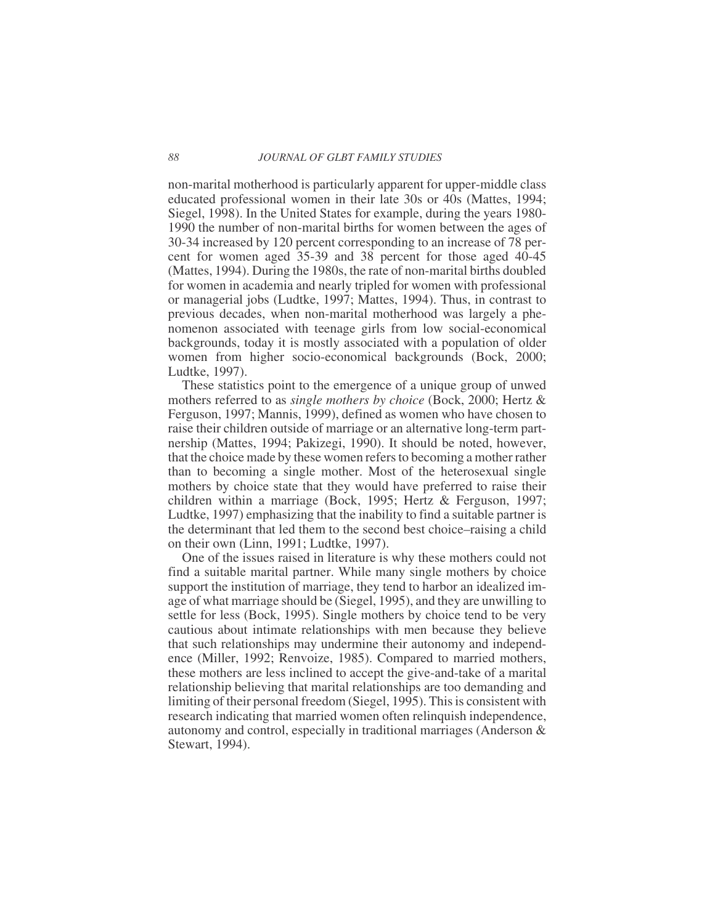non-marital motherhood is particularly apparent for upper-middle class educated professional women in their late 30s or 40s (Mattes, 1994; Siegel, 1998). In the United States for example, during the years 1980- 1990 the number of non-marital births for women between the ages of 30-34 increased by 120 percent corresponding to an increase of 78 percent for women aged 35-39 and 38 percent for those aged 40-45 (Mattes, 1994). During the 1980s, the rate of non-marital births doubled for women in academia and nearly tripled for women with professional or managerial jobs (Ludtke, 1997; Mattes, 1994). Thus, in contrast to previous decades, when non-marital motherhood was largely a phenomenon associated with teenage girls from low social-economical backgrounds, today it is mostly associated with a population of older women from higher socio-economical backgrounds (Bock, 2000; Ludtke, 1997).

These statistics point to the emergence of a unique group of unwed mothers referred to as *single mothers by choice* (Bock, 2000; Hertz & Ferguson, 1997; Mannis, 1999), defined as women who have chosen to raise their children outside of marriage or an alternative long-term partnership (Mattes, 1994; Pakizegi, 1990). It should be noted, however, that the choice made by these women refers to becoming a mother rather than to becoming a single mother. Most of the heterosexual single mothers by choice state that they would have preferred to raise their children within a marriage (Bock, 1995; Hertz & Ferguson, 1997; Ludtke, 1997) emphasizing that the inability to find a suitable partner is the determinant that led them to the second best choice–raising a child on their own (Linn, 1991; Ludtke, 1997).

One of the issues raised in literature is why these mothers could not find a suitable marital partner. While many single mothers by choice support the institution of marriage, they tend to harbor an idealized image of what marriage should be (Siegel, 1995), and they are unwilling to settle for less (Bock, 1995). Single mothers by choice tend to be very cautious about intimate relationships with men because they believe that such relationships may undermine their autonomy and independence (Miller, 1992; Renvoize, 1985). Compared to married mothers, these mothers are less inclined to accept the give-and-take of a marital relationship believing that marital relationships are too demanding and limiting of their personal freedom (Siegel, 1995). This is consistent with research indicating that married women often relinquish independence, autonomy and control, especially in traditional marriages (Anderson & Stewart, 1994).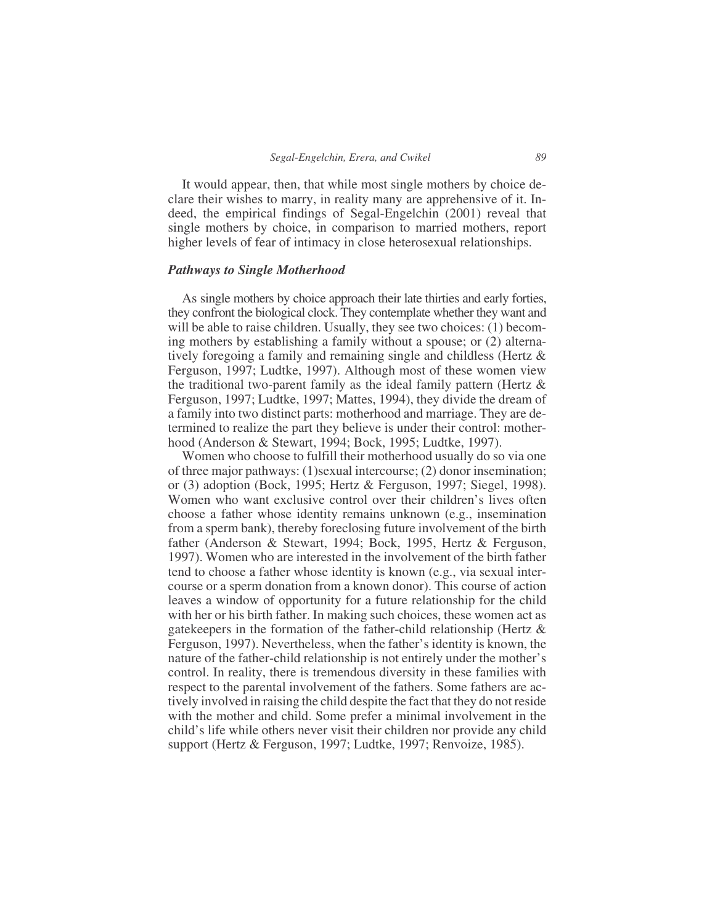It would appear, then, that while most single mothers by choice declare their wishes to marry, in reality many are apprehensive of it. Indeed, the empirical findings of Segal-Engelchin (2001) reveal that single mothers by choice, in comparison to married mothers, report higher levels of fear of intimacy in close heterosexual relationships.

#### *Pathways to Single Motherhood*

As single mothers by choice approach their late thirties and early forties, they confront the biological clock. They contemplate whether they want and will be able to raise children. Usually, they see two choices: (1) becoming mothers by establishing a family without a spouse; or (2) alternatively foregoing a family and remaining single and childless (Hertz & Ferguson, 1997; Ludtke, 1997). Although most of these women view the traditional two-parent family as the ideal family pattern (Hertz  $\&$ Ferguson, 1997; Ludtke, 1997; Mattes, 1994), they divide the dream of a family into two distinct parts: motherhood and marriage. They are determined to realize the part they believe is under their control: motherhood (Anderson & Stewart, 1994; Bock, 1995; Ludtke, 1997).

Women who choose to fulfill their motherhood usually do so via one of three major pathways: (1)sexual intercourse; (2) donor insemination; or (3) adoption (Bock, 1995; Hertz & Ferguson, 1997; Siegel, 1998). Women who want exclusive control over their children's lives often choose a father whose identity remains unknown (e.g., insemination from a sperm bank), thereby foreclosing future involvement of the birth father (Anderson & Stewart, 1994; Bock, 1995, Hertz & Ferguson, 1997). Women who are interested in the involvement of the birth father tend to choose a father whose identity is known (e.g., via sexual intercourse or a sperm donation from a known donor). This course of action leaves a window of opportunity for a future relationship for the child with her or his birth father. In making such choices, these women act as gatekeepers in the formation of the father-child relationship (Hertz & Ferguson, 1997). Nevertheless, when the father's identity is known, the nature of the father-child relationship is not entirely under the mother's control. In reality, there is tremendous diversity in these families with respect to the parental involvement of the fathers. Some fathers are actively involved in raising the child despite the fact that they do not reside with the mother and child. Some prefer a minimal involvement in the child's life while others never visit their children nor provide any child support (Hertz & Ferguson, 1997; Ludtke, 1997; Renvoize, 1985).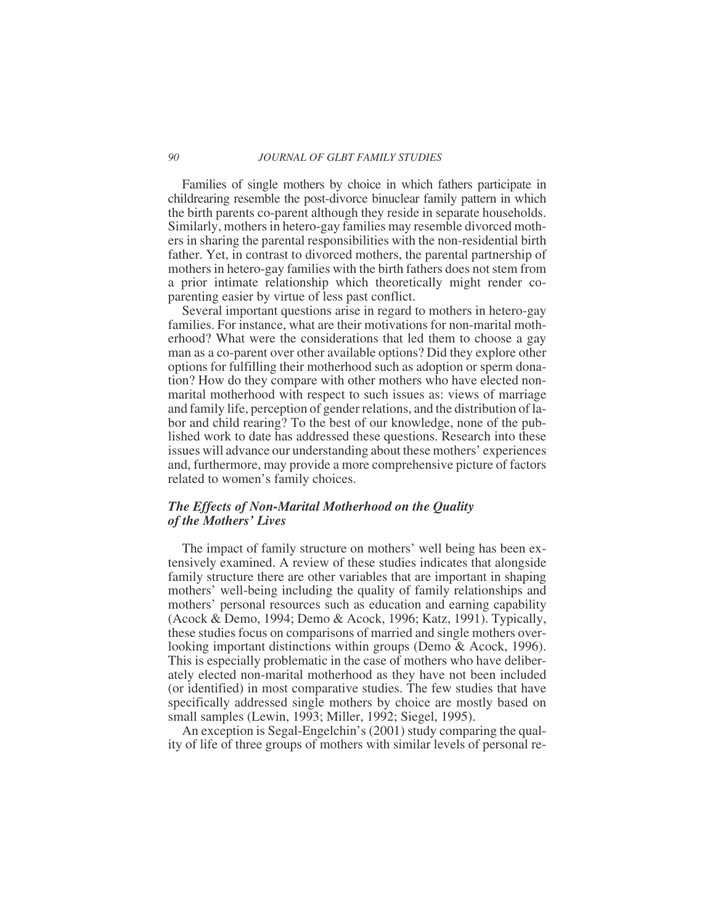#### *90 JOURNAL OF GLBT FAMILY STUDIES*

Families of single mothers by choice in which fathers participate in childrearing resemble the post-divorce binuclear family pattern in which the birth parents co-parent although they reside in separate households. Similarly, mothers in hetero-gay families may resemble divorced mothers in sharing the parental responsibilities with the non-residential birth father. Yet, in contrast to divorced mothers, the parental partnership of mothers in hetero-gay families with the birth fathers does not stem from a prior intimate relationship which theoretically might render coparenting easier by virtue of less past conflict.

Several important questions arise in regard to mothers in hetero-gay families. For instance, what are their motivations for non-marital motherhood? What were the considerations that led them to choose a gay man as a co-parent over other available options? Did they explore other options for fulfilling their motherhood such as adoption or sperm donation? How do they compare with other mothers who have elected nonmarital motherhood with respect to such issues as: views of marriage and family life, perception of gender relations, and the distribution of labor and child rearing? To the best of our knowledge, none of the published work to date has addressed these questions. Research into these issues will advance our understanding about these mothers' experiences and, furthermore, may provide a more comprehensive picture of factors related to women's family choices.

## *The Effects of Non-Marital Motherhood on the Quality of the Mothers' Lives*

The impact of family structure on mothers' well being has been extensively examined. A review of these studies indicates that alongside family structure there are other variables that are important in shaping mothers' well-being including the quality of family relationships and mothers' personal resources such as education and earning capability (Acock & Demo, 1994; Demo & Acock, 1996; Katz, 1991). Typically, these studies focus on comparisons of married and single mothers overlooking important distinctions within groups (Demo & Acock, 1996). This is especially problematic in the case of mothers who have deliberately elected non-marital motherhood as they have not been included (or identified) in most comparative studies. The few studies that have specifically addressed single mothers by choice are mostly based on small samples (Lewin, 1993; Miller, 1992; Siegel, 1995).

An exception is Segal-Engelchin's (2001) study comparing the quality of life of three groups of mothers with similar levels of personal re-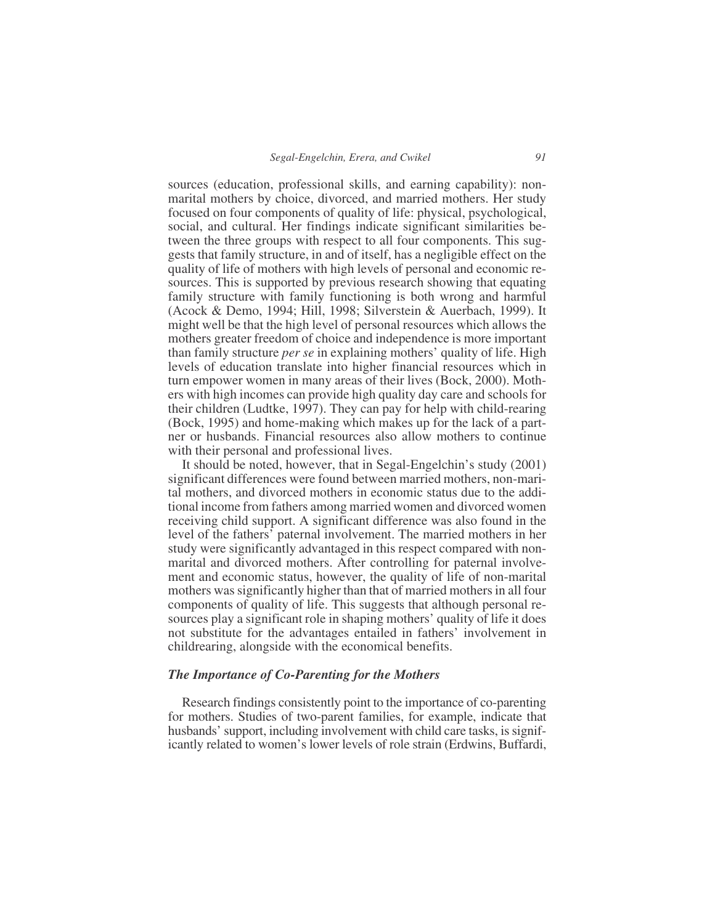sources (education, professional skills, and earning capability): nonmarital mothers by choice, divorced, and married mothers. Her study focused on four components of quality of life: physical, psychological, social, and cultural. Her findings indicate significant similarities between the three groups with respect to all four components. This suggests that family structure, in and of itself, has a negligible effect on the quality of life of mothers with high levels of personal and economic resources. This is supported by previous research showing that equating family structure with family functioning is both wrong and harmful (Acock & Demo, 1994; Hill, 1998; Silverstein & Auerbach, 1999). It might well be that the high level of personal resources which allows the mothers greater freedom of choice and independence is more important than family structure *per se* in explaining mothers' quality of life. High levels of education translate into higher financial resources which in turn empower women in many areas of their lives (Bock, 2000). Mothers with high incomes can provide high quality day care and schools for their children (Ludtke, 1997). They can pay for help with child-rearing (Bock, 1995) and home-making which makes up for the lack of a partner or husbands. Financial resources also allow mothers to continue with their personal and professional lives.

It should be noted, however, that in Segal-Engelchin's study (2001) significant differences were found between married mothers, non-marital mothers, and divorced mothers in economic status due to the additional income from fathers among married women and divorced women receiving child support. A significant difference was also found in the level of the fathers' paternal involvement. The married mothers in her study were significantly advantaged in this respect compared with nonmarital and divorced mothers. After controlling for paternal involvement and economic status, however, the quality of life of non-marital mothers was significantly higher than that of married mothers in all four components of quality of life. This suggests that although personal resources play a significant role in shaping mothers' quality of life it does not substitute for the advantages entailed in fathers' involvement in childrearing, alongside with the economical benefits.

#### *The Importance of Co-Parenting for the Mothers*

Research findings consistently point to the importance of co-parenting for mothers. Studies of two-parent families, for example, indicate that husbands' support, including involvement with child care tasks, is significantly related to women's lower levels of role strain (Erdwins, Buffardi,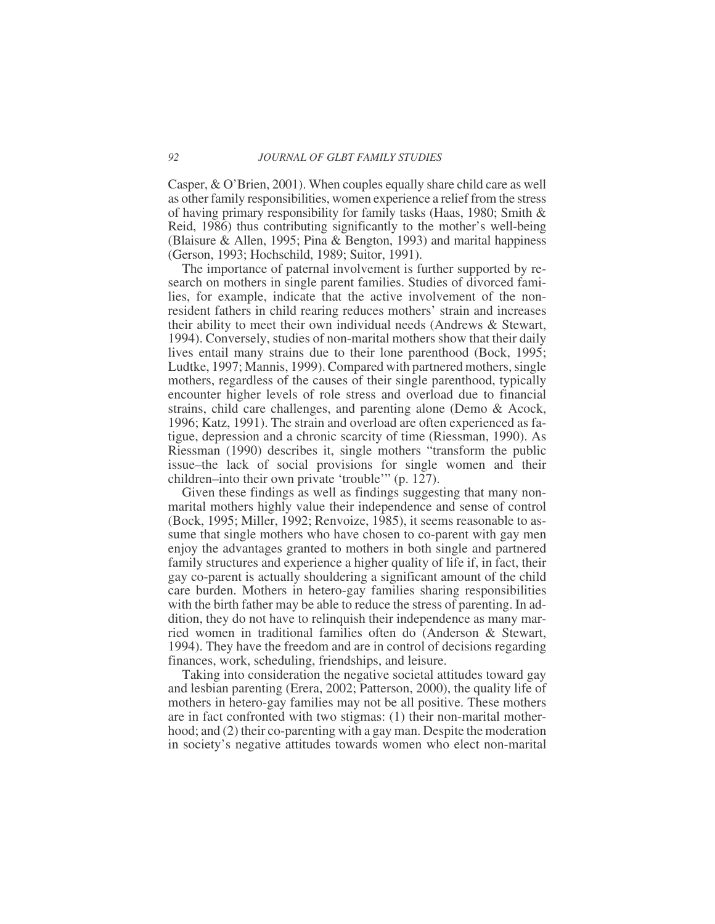Casper, & O'Brien, 2001). When couples equally share child care as well as other family responsibilities, women experience a relief from the stress of having primary responsibility for family tasks (Haas, 1980; Smith & Reid, 1986) thus contributing significantly to the mother's well-being (Blaisure & Allen, 1995; Pina & Bengton, 1993) and marital happiness (Gerson, 1993; Hochschild, 1989; Suitor, 1991).

The importance of paternal involvement is further supported by research on mothers in single parent families. Studies of divorced families, for example, indicate that the active involvement of the nonresident fathers in child rearing reduces mothers' strain and increases their ability to meet their own individual needs (Andrews & Stewart, 1994). Conversely, studies of non-marital mothers show that their daily lives entail many strains due to their lone parenthood (Bock, 1995; Ludtke, 1997; Mannis, 1999). Compared with partnered mothers, single mothers, regardless of the causes of their single parenthood, typically encounter higher levels of role stress and overload due to financial strains, child care challenges, and parenting alone (Demo & Acock, 1996; Katz, 1991). The strain and overload are often experienced as fatigue, depression and a chronic scarcity of time (Riessman, 1990). As Riessman (1990) describes it, single mothers "transform the public issue–the lack of social provisions for single women and their children–into their own private 'trouble'" (p. 127).

Given these findings as well as findings suggesting that many nonmarital mothers highly value their independence and sense of control (Bock, 1995; Miller, 1992; Renvoize, 1985), it seems reasonable to assume that single mothers who have chosen to co-parent with gay men enjoy the advantages granted to mothers in both single and partnered family structures and experience a higher quality of life if, in fact, their gay co-parent is actually shouldering a significant amount of the child care burden. Mothers in hetero-gay families sharing responsibilities with the birth father may be able to reduce the stress of parenting. In addition, they do not have to relinquish their independence as many married women in traditional families often do (Anderson & Stewart, 1994). They have the freedom and are in control of decisions regarding finances, work, scheduling, friendships, and leisure.

Taking into consideration the negative societal attitudes toward gay and lesbian parenting (Erera, 2002; Patterson, 2000), the quality life of mothers in hetero-gay families may not be all positive. These mothers are in fact confronted with two stigmas: (1) their non-marital motherhood; and (2) their co-parenting with a gay man. Despite the moderation in society's negative attitudes towards women who elect non-marital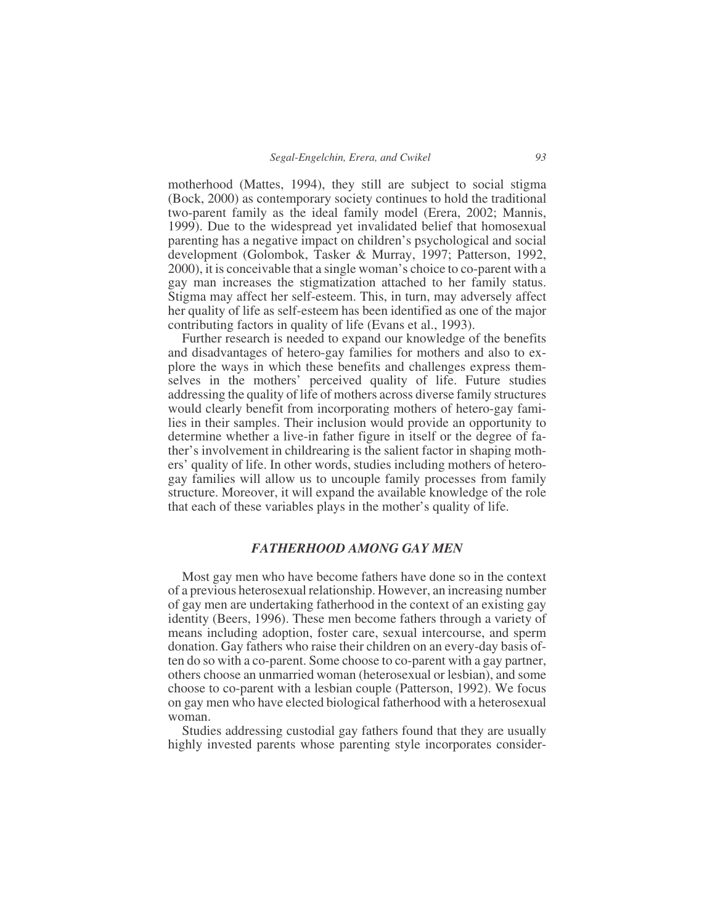motherhood (Mattes, 1994), they still are subject to social stigma (Bock, 2000) as contemporary society continues to hold the traditional two-parent family as the ideal family model (Erera, 2002; Mannis, 1999). Due to the widespread yet invalidated belief that homosexual parenting has a negative impact on children's psychological and social development (Golombok, Tasker & Murray, 1997; Patterson, 1992, 2000), it is conceivable that a single woman's choice to co-parent with a gay man increases the stigmatization attached to her family status. Stigma may affect her self-esteem. This, in turn, may adversely affect her quality of life as self-esteem has been identified as one of the major contributing factors in quality of life (Evans et al., 1993).

Further research is needed to expand our knowledge of the benefits and disadvantages of hetero-gay families for mothers and also to explore the ways in which these benefits and challenges express themselves in the mothers' perceived quality of life. Future studies addressing the quality of life of mothers across diverse family structures would clearly benefit from incorporating mothers of hetero-gay families in their samples. Their inclusion would provide an opportunity to determine whether a live-in father figure in itself or the degree of father's involvement in childrearing is the salient factor in shaping mothers' quality of life. In other words, studies including mothers of heterogay families will allow us to uncouple family processes from family structure. Moreover, it will expand the available knowledge of the role that each of these variables plays in the mother's quality of life.

#### *FATHERHOOD AMONG GAY MEN*

Most gay men who have become fathers have done so in the context of a previous heterosexual relationship. However, an increasing number of gay men are undertaking fatherhood in the context of an existing gay identity (Beers, 1996). These men become fathers through a variety of means including adoption, foster care, sexual intercourse, and sperm donation. Gay fathers who raise their children on an every-day basis often do so with a co-parent. Some choose to co-parent with a gay partner, others choose an unmarried woman (heterosexual or lesbian), and some choose to co-parent with a lesbian couple (Patterson, 1992). We focus on gay men who have elected biological fatherhood with a heterosexual woman.

Studies addressing custodial gay fathers found that they are usually highly invested parents whose parenting style incorporates consider-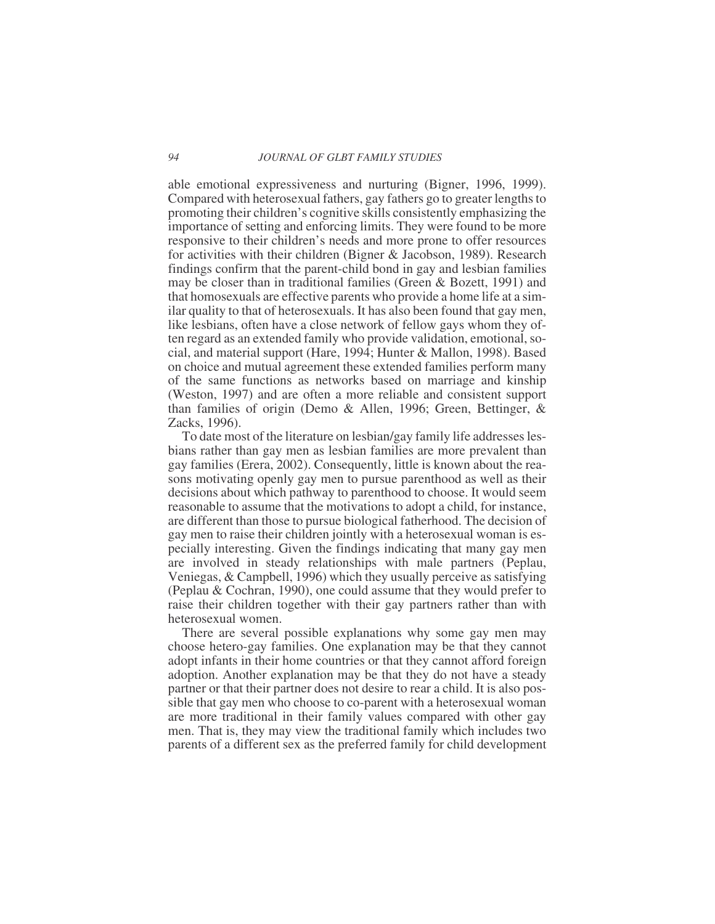able emotional expressiveness and nurturing (Bigner, 1996, 1999). Compared with heterosexual fathers, gay fathers go to greater lengths to promoting their children's cognitive skills consistently emphasizing the importance of setting and enforcing limits. They were found to be more responsive to their children's needs and more prone to offer resources for activities with their children (Bigner & Jacobson, 1989). Research findings confirm that the parent-child bond in gay and lesbian families may be closer than in traditional families (Green & Bozett, 1991) and that homosexuals are effective parents who provide a home life at a similar quality to that of heterosexuals. It has also been found that gay men, like lesbians, often have a close network of fellow gays whom they often regard as an extended family who provide validation, emotional, social, and material support (Hare, 1994; Hunter & Mallon, 1998). Based on choice and mutual agreement these extended families perform many of the same functions as networks based on marriage and kinship (Weston, 1997) and are often a more reliable and consistent support than families of origin (Demo & Allen, 1996; Green, Bettinger, & Zacks, 1996).

To date most of the literature on lesbian/gay family life addresses lesbians rather than gay men as lesbian families are more prevalent than gay families (Erera, 2002). Consequently, little is known about the reasons motivating openly gay men to pursue parenthood as well as their decisions about which pathway to parenthood to choose. It would seem reasonable to assume that the motivations to adopt a child, for instance, are different than those to pursue biological fatherhood. The decision of gay men to raise their children jointly with a heterosexual woman is especially interesting. Given the findings indicating that many gay men are involved in steady relationships with male partners (Peplau, Veniegas, & Campbell, 1996) which they usually perceive as satisfying (Peplau & Cochran, 1990), one could assume that they would prefer to raise their children together with their gay partners rather than with heterosexual women.

There are several possible explanations why some gay men may choose hetero-gay families. One explanation may be that they cannot adopt infants in their home countries or that they cannot afford foreign adoption. Another explanation may be that they do not have a steady partner or that their partner does not desire to rear a child. It is also possible that gay men who choose to co-parent with a heterosexual woman are more traditional in their family values compared with other gay men. That is, they may view the traditional family which includes two parents of a different sex as the preferred family for child development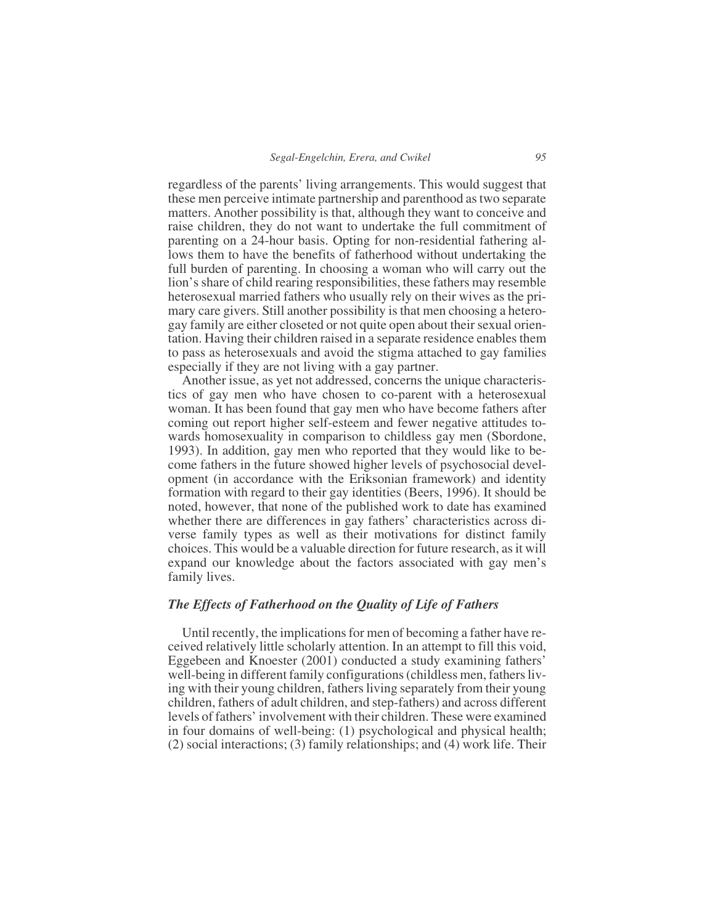regardless of the parents' living arrangements. This would suggest that these men perceive intimate partnership and parenthood as two separate matters. Another possibility is that, although they want to conceive and raise children, they do not want to undertake the full commitment of parenting on a 24-hour basis. Opting for non-residential fathering allows them to have the benefits of fatherhood without undertaking the full burden of parenting. In choosing a woman who will carry out the lion's share of child rearing responsibilities, these fathers may resemble heterosexual married fathers who usually rely on their wives as the primary care givers. Still another possibility is that men choosing a heterogay family are either closeted or not quite open about their sexual orientation. Having their children raised in a separate residence enables them to pass as heterosexuals and avoid the stigma attached to gay families especially if they are not living with a gay partner.

Another issue, as yet not addressed, concerns the unique characteristics of gay men who have chosen to co-parent with a heterosexual woman. It has been found that gay men who have become fathers after coming out report higher self-esteem and fewer negative attitudes towards homosexuality in comparison to childless gay men (Sbordone, 1993). In addition, gay men who reported that they would like to become fathers in the future showed higher levels of psychosocial development (in accordance with the Eriksonian framework) and identity formation with regard to their gay identities (Beers, 1996). It should be noted, however, that none of the published work to date has examined whether there are differences in gay fathers' characteristics across diverse family types as well as their motivations for distinct family choices. This would be a valuable direction for future research, as it will expand our knowledge about the factors associated with gay men's family lives.

# *The Effects of Fatherhood on the Quality of Life of Fathers*

Until recently, the implications for men of becoming a father have received relatively little scholarly attention. In an attempt to fill this void, Eggebeen and Knoester (2001) conducted a study examining fathers' well-being in different family configurations (childless men, fathers living with their young children, fathers living separately from their young children, fathers of adult children, and step-fathers) and across different levels of fathers' involvement with their children. These were examined in four domains of well-being: (1) psychological and physical health; (2) social interactions; (3) family relationships; and (4) work life. Their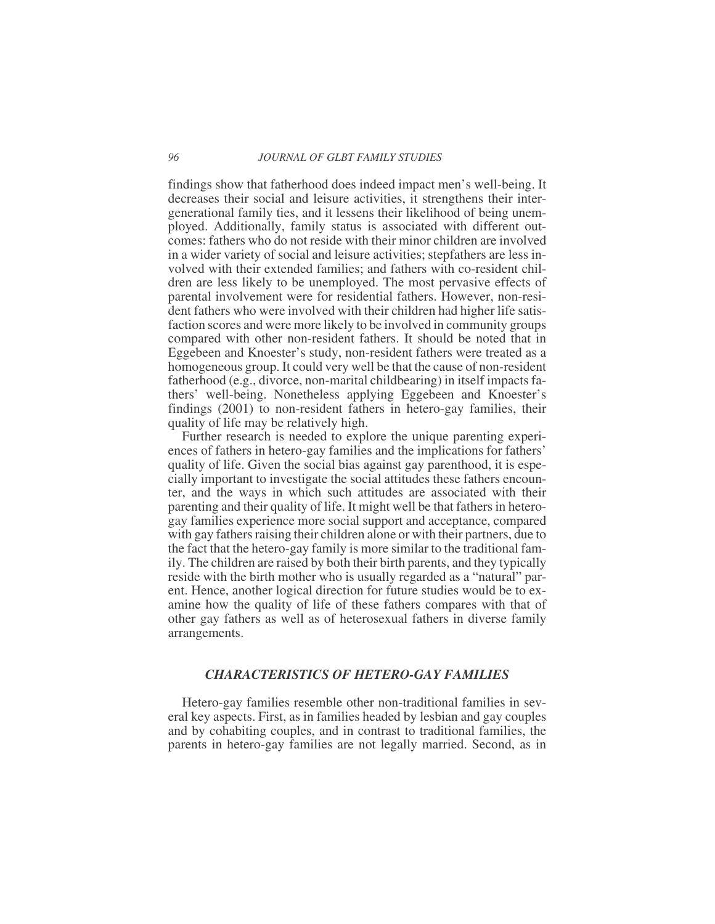findings show that fatherhood does indeed impact men's well-being. It decreases their social and leisure activities, it strengthens their intergenerational family ties, and it lessens their likelihood of being unemployed. Additionally, family status is associated with different outcomes: fathers who do not reside with their minor children are involved in a wider variety of social and leisure activities; stepfathers are less involved with their extended families; and fathers with co-resident children are less likely to be unemployed. The most pervasive effects of parental involvement were for residential fathers. However, non-resident fathers who were involved with their children had higher life satisfaction scores and were more likely to be involved in community groups compared with other non-resident fathers. It should be noted that in Eggebeen and Knoester's study, non-resident fathers were treated as a homogeneous group. It could very well be that the cause of non-resident fatherhood (e.g., divorce, non-marital childbearing) in itself impacts fathers' well-being. Nonetheless applying Eggebeen and Knoester's findings (2001) to non-resident fathers in hetero-gay families, their quality of life may be relatively high.

Further research is needed to explore the unique parenting experiences of fathers in hetero-gay families and the implications for fathers' quality of life. Given the social bias against gay parenthood, it is especially important to investigate the social attitudes these fathers encounter, and the ways in which such attitudes are associated with their parenting and their quality of life. It might well be that fathers in heterogay families experience more social support and acceptance, compared with gay fathers raising their children alone or with their partners, due to the fact that the hetero-gay family is more similar to the traditional family. The children are raised by both their birth parents, and they typically reside with the birth mother who is usually regarded as a "natural" parent. Hence, another logical direction for future studies would be to examine how the quality of life of these fathers compares with that of other gay fathers as well as of heterosexual fathers in diverse family arrangements.

### *CHARACTERISTICS OF HETERO-GAY FAMILIES*

Hetero-gay families resemble other non-traditional families in several key aspects. First, as in families headed by lesbian and gay couples and by cohabiting couples, and in contrast to traditional families, the parents in hetero-gay families are not legally married. Second, as in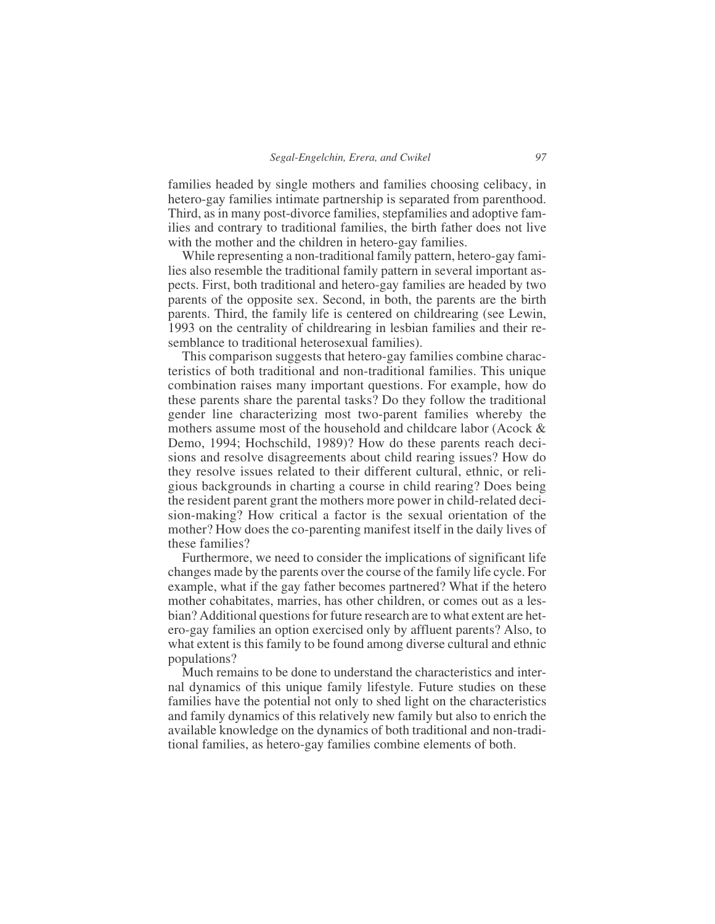families headed by single mothers and families choosing celibacy, in hetero-gay families intimate partnership is separated from parenthood. Third, as in many post-divorce families, stepfamilies and adoptive families and contrary to traditional families, the birth father does not live with the mother and the children in hetero-gay families.

While representing a non-traditional family pattern, hetero-gay families also resemble the traditional family pattern in several important aspects. First, both traditional and hetero-gay families are headed by two parents of the opposite sex. Second, in both, the parents are the birth parents. Third, the family life is centered on childrearing (see Lewin, 1993 on the centrality of childrearing in lesbian families and their resemblance to traditional heterosexual families).

This comparison suggests that hetero-gay families combine characteristics of both traditional and non-traditional families. This unique combination raises many important questions. For example, how do these parents share the parental tasks? Do they follow the traditional gender line characterizing most two-parent families whereby the mothers assume most of the household and childcare labor (Acock & Demo, 1994; Hochschild, 1989)? How do these parents reach decisions and resolve disagreements about child rearing issues? How do they resolve issues related to their different cultural, ethnic, or religious backgrounds in charting a course in child rearing? Does being the resident parent grant the mothers more power in child-related decision-making? How critical a factor is the sexual orientation of the mother? How does the co-parenting manifest itself in the daily lives of these families?

Furthermore, we need to consider the implications of significant life changes made by the parents over the course of the family life cycle. For example, what if the gay father becomes partnered? What if the hetero mother cohabitates, marries, has other children, or comes out as a lesbian? Additional questions for future research are to what extent are hetero-gay families an option exercised only by affluent parents? Also, to what extent is this family to be found among diverse cultural and ethnic populations?

Much remains to be done to understand the characteristics and internal dynamics of this unique family lifestyle. Future studies on these families have the potential not only to shed light on the characteristics and family dynamics of this relatively new family but also to enrich the available knowledge on the dynamics of both traditional and non-traditional families, as hetero-gay families combine elements of both.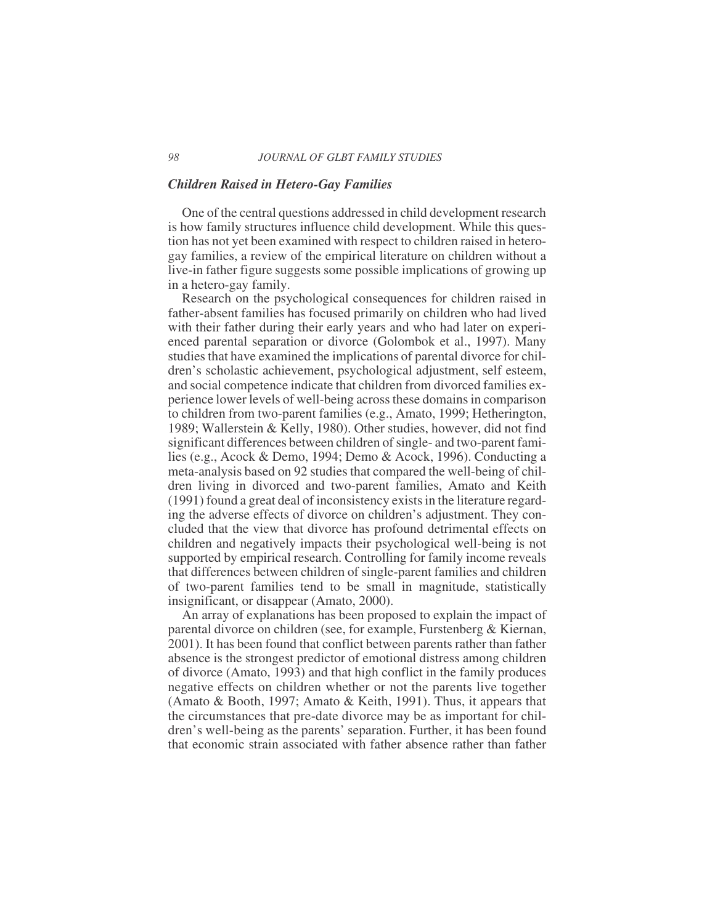## *Children Raised in Hetero-Gay Families*

One of the central questions addressed in child development research is how family structures influence child development. While this question has not yet been examined with respect to children raised in heterogay families, a review of the empirical literature on children without a live-in father figure suggests some possible implications of growing up in a hetero-gay family.

Research on the psychological consequences for children raised in father-absent families has focused primarily on children who had lived with their father during their early years and who had later on experienced parental separation or divorce (Golombok et al., 1997). Many studies that have examined the implications of parental divorce for children's scholastic achievement, psychological adjustment, self esteem, and social competence indicate that children from divorced families experience lower levels of well-being across these domains in comparison to children from two-parent families (e.g., Amato, 1999; Hetherington, 1989; Wallerstein & Kelly, 1980). Other studies, however, did not find significant differences between children of single- and two-parent families (e.g., Acock & Demo, 1994; Demo & Acock, 1996). Conducting a meta-analysis based on 92 studies that compared the well-being of children living in divorced and two-parent families, Amato and Keith (1991) found a great deal of inconsistency exists in the literature regarding the adverse effects of divorce on children's adjustment. They concluded that the view that divorce has profound detrimental effects on children and negatively impacts their psychological well-being is not supported by empirical research. Controlling for family income reveals that differences between children of single-parent families and children of two-parent families tend to be small in magnitude, statistically insignificant, or disappear (Amato, 2000).

An array of explanations has been proposed to explain the impact of parental divorce on children (see, for example, Furstenberg & Kiernan, 2001). It has been found that conflict between parents rather than father absence is the strongest predictor of emotional distress among children of divorce (Amato, 1993) and that high conflict in the family produces negative effects on children whether or not the parents live together (Amato & Booth, 1997; Amato & Keith, 1991). Thus, it appears that the circumstances that pre-date divorce may be as important for children's well-being as the parents' separation. Further, it has been found that economic strain associated with father absence rather than father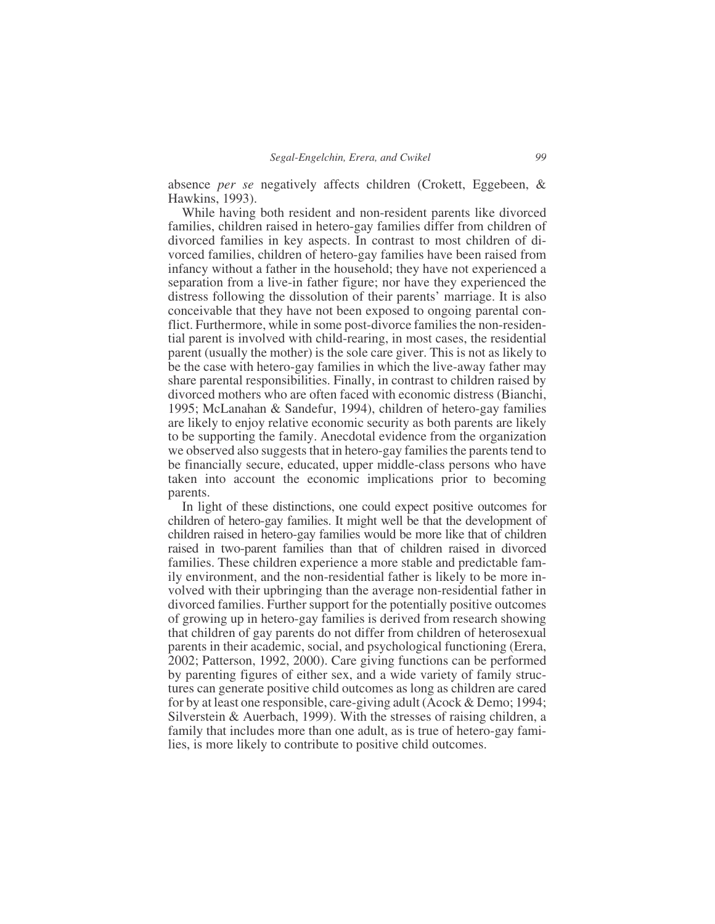absence *per se* negatively affects children (Crokett, Eggebeen, & Hawkins, 1993).

While having both resident and non-resident parents like divorced families, children raised in hetero-gay families differ from children of divorced families in key aspects. In contrast to most children of divorced families, children of hetero-gay families have been raised from infancy without a father in the household; they have not experienced a separation from a live-in father figure; nor have they experienced the distress following the dissolution of their parents' marriage. It is also conceivable that they have not been exposed to ongoing parental conflict. Furthermore, while in some post-divorce families the non-residential parent is involved with child-rearing, in most cases, the residential parent (usually the mother) is the sole care giver. This is not as likely to be the case with hetero-gay families in which the live-away father may share parental responsibilities. Finally, in contrast to children raised by divorced mothers who are often faced with economic distress (Bianchi, 1995; McLanahan & Sandefur, 1994), children of hetero-gay families are likely to enjoy relative economic security as both parents are likely to be supporting the family. Anecdotal evidence from the organization we observed also suggests that in hetero-gay families the parents tend to be financially secure, educated, upper middle-class persons who have taken into account the economic implications prior to becoming parents.

In light of these distinctions, one could expect positive outcomes for children of hetero-gay families. It might well be that the development of children raised in hetero-gay families would be more like that of children raised in two-parent families than that of children raised in divorced families. These children experience a more stable and predictable family environment, and the non-residential father is likely to be more involved with their upbringing than the average non-residential father in divorced families. Further support for the potentially positive outcomes of growing up in hetero-gay families is derived from research showing that children of gay parents do not differ from children of heterosexual parents in their academic, social, and psychological functioning (Erera, 2002; Patterson, 1992, 2000). Care giving functions can be performed by parenting figures of either sex, and a wide variety of family structures can generate positive child outcomes as long as children are cared for by at least one responsible, care-giving adult (Acock & Demo; 1994; Silverstein & Auerbach, 1999). With the stresses of raising children, a family that includes more than one adult, as is true of hetero-gay families, is more likely to contribute to positive child outcomes.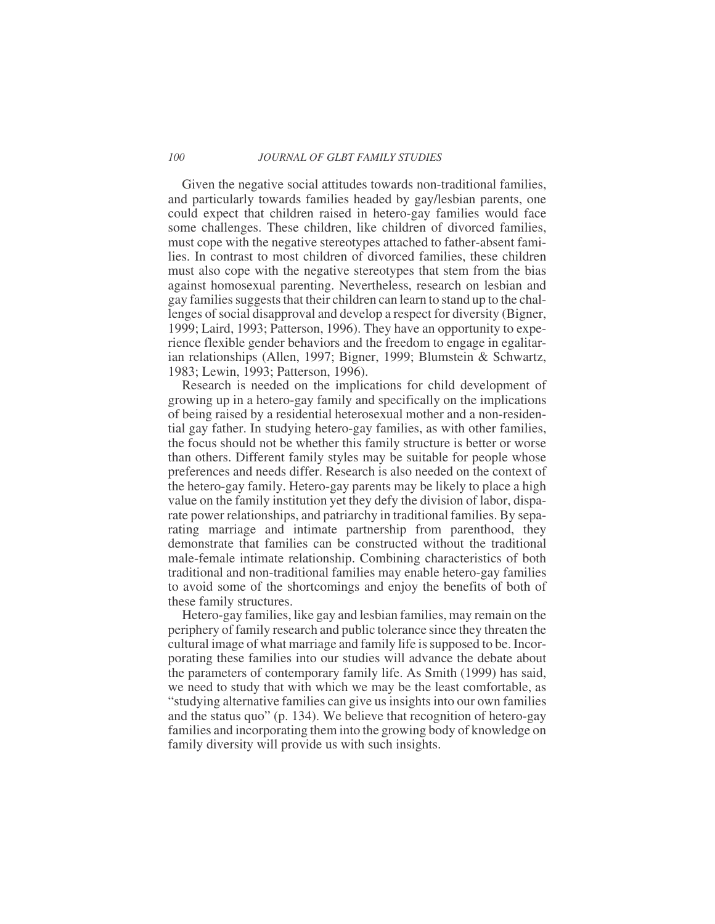#### *100 JOURNAL OF GLBT FAMILY STUDIES*

Given the negative social attitudes towards non-traditional families, and particularly towards families headed by gay/lesbian parents, one could expect that children raised in hetero-gay families would face some challenges. These children, like children of divorced families, must cope with the negative stereotypes attached to father-absent families. In contrast to most children of divorced families, these children must also cope with the negative stereotypes that stem from the bias against homosexual parenting. Nevertheless, research on lesbian and gay families suggests that their children can learn to stand up to the challenges of social disapproval and develop a respect for diversity (Bigner, 1999; Laird, 1993; Patterson, 1996). They have an opportunity to experience flexible gender behaviors and the freedom to engage in egalitarian relationships (Allen, 1997; Bigner, 1999; Blumstein & Schwartz, 1983; Lewin, 1993; Patterson, 1996).

Research is needed on the implications for child development of growing up in a hetero-gay family and specifically on the implications of being raised by a residential heterosexual mother and a non-residential gay father. In studying hetero-gay families, as with other families, the focus should not be whether this family structure is better or worse than others. Different family styles may be suitable for people whose preferences and needs differ. Research is also needed on the context of the hetero-gay family. Hetero-gay parents may be likely to place a high value on the family institution yet they defy the division of labor, disparate power relationships, and patriarchy in traditional families. By separating marriage and intimate partnership from parenthood, they demonstrate that families can be constructed without the traditional male-female intimate relationship. Combining characteristics of both traditional and non-traditional families may enable hetero-gay families to avoid some of the shortcomings and enjoy the benefits of both of these family structures.

Hetero-gay families, like gay and lesbian families, may remain on the periphery of family research and public tolerance since they threaten the cultural image of what marriage and family life is supposed to be. Incorporating these families into our studies will advance the debate about the parameters of contemporary family life. As Smith (1999) has said, we need to study that with which we may be the least comfortable, as "studying alternative families can give us insights into our own families and the status quo" (p. 134). We believe that recognition of hetero-gay families and incorporating them into the growing body of knowledge on family diversity will provide us with such insights.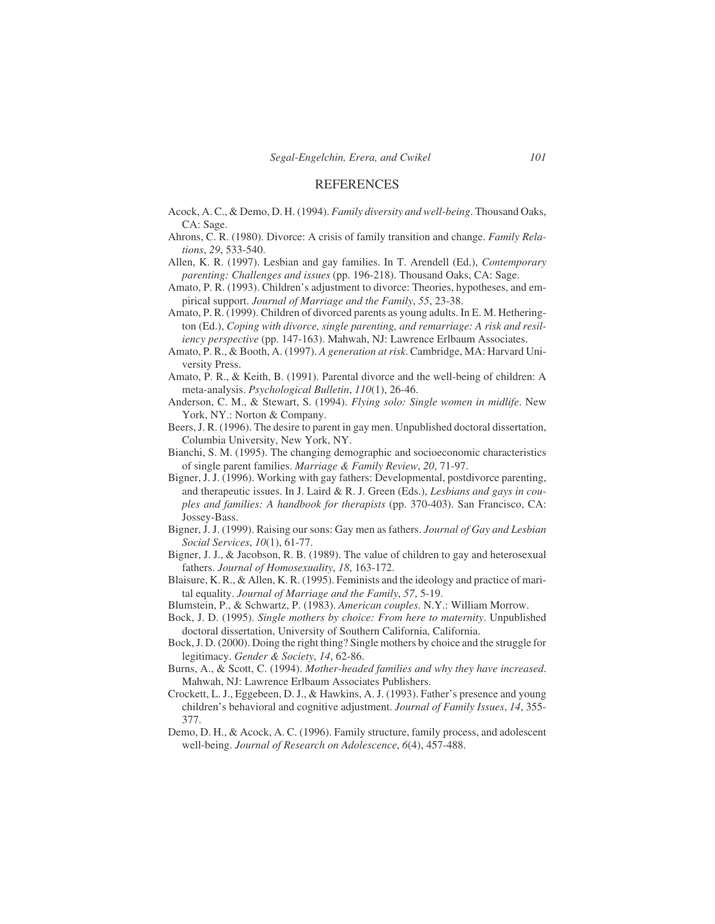#### REFERENCES

- Acock, A. C., & Demo, D. H. (1994). *Family diversity and well-being*. Thousand Oaks, CA: Sage.
- Ahrons, C. R. (1980). Divorce: A crisis of family transition and change. *Family Relations*, *29*, 533-540.
- Allen, K. R. (1997). Lesbian and gay families. In T. Arendell (Ed.), *Contemporary parenting: Challenges and issues* (pp. 196-218). Thousand Oaks, CA: Sage.
- Amato, P. R. (1993). Children's adjustment to divorce: Theories, hypotheses, and empirical support. *Journal of Marriage and the Family*, *55*, 23-38.
- Amato, P. R. (1999). Children of divorced parents as young adults. In E. M. Hetherington (Ed.), *Coping with divorce, single parenting, and remarriage: A risk and resiliency perspective* (pp. 147-163). Mahwah, NJ: Lawrence Erlbaum Associates.
- Amato, P. R., & Booth, A. (1997). *A generation at risk*. Cambridge, MA: Harvard University Press.
- Amato, P. R., & Keith, B. (1991). Parental divorce and the well-being of children: A meta-analysis. *Psychological Bulletin*, *110*(1), 26-46.
- Anderson, C. M., & Stewart, S. (1994). *Flying solo: Single women in midlife*. New York, NY.: Norton & Company.
- Beers, J. R. (1996). The desire to parent in gay men. Unpublished doctoral dissertation, Columbia University, New York, NY.
- Bianchi, S. M. (1995). The changing demographic and socioeconomic characteristics of single parent families. *Marriage & Family Review*, *20*, 71-97.
- Bigner, J. J. (1996). Working with gay fathers: Developmental, postdivorce parenting, and therapeutic issues. In J. Laird & R. J. Green (Eds.), *Lesbians and gays in couples and families: A handbook for therapists* (pp. 370-403). San Francisco, CA: Jossey-Bass.
- Bigner, J. J. (1999). Raising our sons: Gay men as fathers. *Journal of Gay and Lesbian Social Services*, *10*(1), 61-77.
- Bigner, J. J., & Jacobson, R. B. (1989). The value of children to gay and heterosexual fathers. *Journal of Homosexuality*, *18*, 163-172.
- Blaisure, K. R., & Allen, K. R. (1995). Feminists and the ideology and practice of marital equality. *Journal of Marriage and the Family*, *57*, 5-19.
- Blumstein, P., & Schwartz, P. (1983). *American couples*. N.Y.: William Morrow.
- Bock, J. D. (1995). *Single mothers by choice: From here to maternity*. Unpublished doctoral dissertation, University of Southern California, California.
- Bock, J. D. (2000). Doing the right thing? Single mothers by choice and the struggle for legitimacy. *Gender & Society*, *14*, 62-86.
- Burns, A., & Scott, C. (1994). *Mother-headed families and why they have increased*. Mahwah, NJ: Lawrence Erlbaum Associates Publishers.
- Crockett, L. J., Eggebeen, D. J., & Hawkins, A. J. (1993). Father's presence and young children's behavioral and cognitive adjustment. *Journal of Family Issues*, *14*, 355- 377.
- Demo, D. H., & Acock, A. C. (1996). Family structure, family process, and adolescent well-being. *Journal of Research on Adolescence*, *6*(4), 457-488.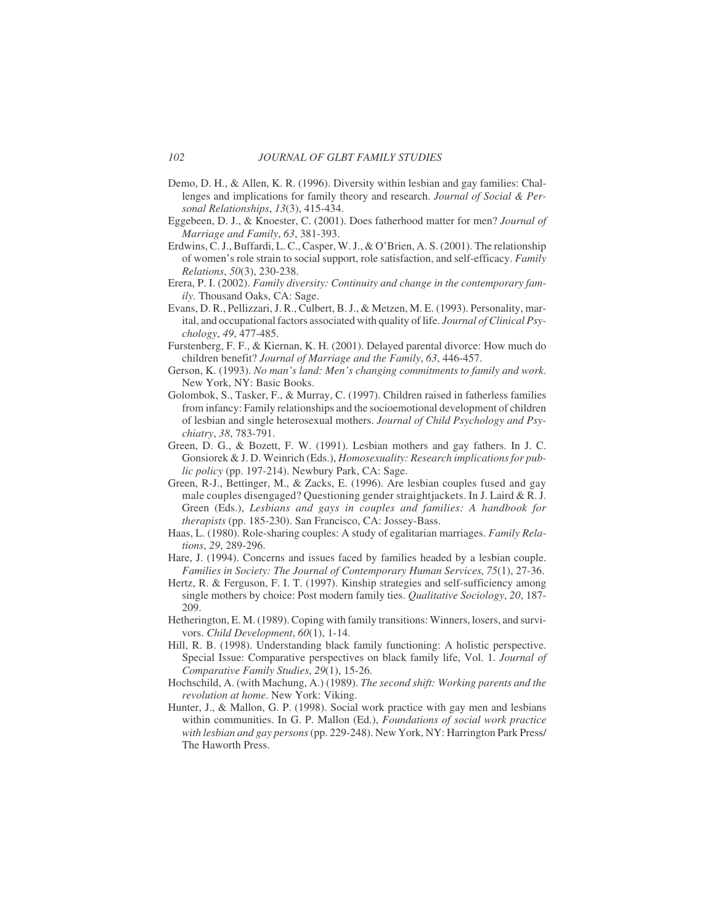- Demo, D. H., & Allen, K. R. (1996). Diversity within lesbian and gay families: Challenges and implications for family theory and research. *Journal of Social & Personal Relationships*, *13*(3), 415-434.
- Eggebeen, D. J., & Knoester, C. (2001). Does fatherhood matter for men? *Journal of Marriage and Family*, *63*, 381-393.
- Erdwins, C. J., Buffardi, L. C., Casper, W. J., & O'Brien, A. S. (2001). The relationship of women's role strain to social support, role satisfaction, and self-efficacy. *Family Relations*, *50*(3), 230-238.
- Erera, P. I. (2002). *Family diversity: Continuity and change in the contemporary family*. Thousand Oaks, CA: Sage.
- Evans, D. R., Pellizzari, J. R., Culbert, B. J., & Metzen, M. E. (1993). Personality, marital, and occupational factors associated with quality of life. *Journal of Clinical Psychology*, *49*, 477-485.
- Furstenberg, F. F., & Kiernan, K. H. (2001). Delayed parental divorce: How much do children benefit? *Journal of Marriage and the Family*, *63*, 446-457.
- Gerson, K. (1993). *No man's land: Men's changing commitments to family and work*. New York, NY: Basic Books.
- Golombok, S., Tasker, F., & Murray, C. (1997). Children raised in fatherless families from infancy: Family relationships and the socioemotional development of children of lesbian and single heterosexual mothers. *Journal of Child Psychology and Psychiatry*, *38*, 783-791.
- Green, D. G., & Bozett, F. W. (1991). Lesbian mothers and gay fathers. In J. C. Gonsiorek & J. D. Weinrich (Eds.), *Homosexuality: Research implications for public policy* (pp. 197-214). Newbury Park, CA: Sage.
- Green, R-J., Bettinger, M., & Zacks, E. (1996). Are lesbian couples fused and gay male couples disengaged? Questioning gender straightjackets. In J. Laird & R. J. Green (Eds.), *Lesbians and gays in couples and families: A handbook for therapists* (pp. 185-230). San Francisco, CA: Jossey-Bass.
- Haas, L. (1980). Role-sharing couples: A study of egalitarian marriages. *Family Relations*, *29*, 289-296.
- Hare, J. (1994). Concerns and issues faced by families headed by a lesbian couple. *Families in Society: The Journal of Contemporary Human Services*, *75*(1), 27-36.
- Hertz, R. & Ferguson, F. I. T. (1997). Kinship strategies and self-sufficiency among single mothers by choice: Post modern family ties. *Qualitative Sociology*, *20*, 187- 209.
- Hetherington, E. M. (1989). Coping with family transitions: Winners, losers, and survivors. *Child Development*, *60*(1), 1-14.
- Hill, R. B. (1998). Understanding black family functioning: A holistic perspective. Special Issue: Comparative perspectives on black family life, Vol. 1. *Journal of Comparative Family Studies*, *29*(1), 15-26.
- Hochschild, A. (with Machung, A.) (1989). *The second shift: Working parents and the revolution at home*. New York: Viking.
- Hunter, J., & Mallon, G. P. (1998). Social work practice with gay men and lesbians within communities. In G. P. Mallon (Ed.), *Foundations of social work practice with lesbian and gay persons*(pp. 229-248). New York, NY: Harrington Park Press/ The Haworth Press.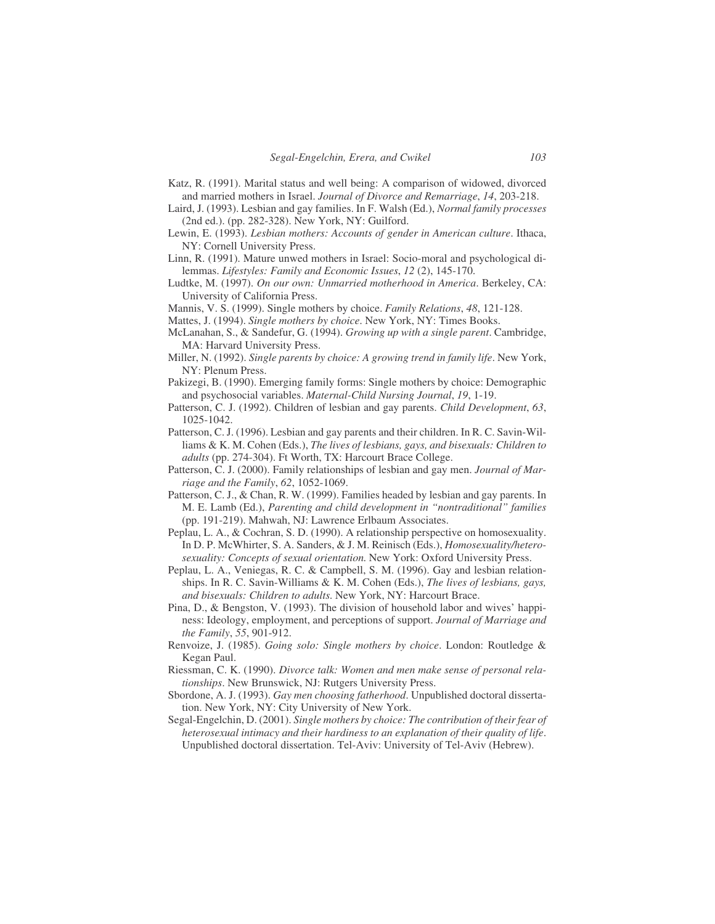- Katz, R. (1991). Marital status and well being: A comparison of widowed, divorced and married mothers in Israel. *Journal of Divorce and Remarriage*, *14*, 203-218.
- Laird, J. (1993). Lesbian and gay families. In F. Walsh (Ed.), *Normal family processes* (2nd ed.). (pp. 282-328). New York, NY: Guilford.
- Lewin, E. (1993). *Lesbian mothers: Accounts of gender in American culture*. Ithaca, NY: Cornell University Press.
- Linn, R. (1991). Mature unwed mothers in Israel: Socio-moral and psychological dilemmas. *Lifestyles: Family and Economic Issues*, *12* (2), 145-170.
- Ludtke, M. (1997). *On our own: Unmarried motherhood in America*. Berkeley, CA: University of California Press.
- Mannis, V. S. (1999). Single mothers by choice. *Family Relations*, *48*, 121-128.
- Mattes, J. (1994). *Single mothers by choice*. New York, NY: Times Books.
- McLanahan, S., & Sandefur, G. (1994). *Growing up with a single parent*. Cambridge, MA: Harvard University Press.
- Miller, N. (1992). *Single parents by choice: A growing trend in family life*. New York, NY: Plenum Press.
- Pakizegi, B. (1990). Emerging family forms: Single mothers by choice: Demographic and psychosocial variables. *Maternal-Child Nursing Journal*, *19*, 1-19.
- Patterson, C. J. (1992). Children of lesbian and gay parents. *Child Development*, *63*, 1025-1042.
- Patterson, C. J. (1996). Lesbian and gay parents and their children. In R. C. Savin-Williams & K. M. Cohen (Eds.), *The lives of lesbians, gays, and bisexuals: Children to adults* (pp. 274-304). Ft Worth, TX: Harcourt Brace College.
- Patterson, C. J. (2000). Family relationships of lesbian and gay men. *Journal of Marriage and the Family*, *62*, 1052-1069.
- Patterson, C. J., & Chan, R. W. (1999). Families headed by lesbian and gay parents. In M. E. Lamb (Ed.), *Parenting and child development in "nontraditional" families* (pp. 191-219). Mahwah, NJ: Lawrence Erlbaum Associates.
- Peplau, L. A., & Cochran, S. D. (1990). A relationship perspective on homosexuality. In D. P. McWhirter, S. A. Sanders, & J. M. Reinisch (Eds.), *Homosexuality/heterosexuality: Concepts of sexual orientation.* New York: Oxford University Press.
- Peplau, L. A., Veniegas, R. C. & Campbell, S. M. (1996). Gay and lesbian relationships. In R. C. Savin-Williams & K. M. Cohen (Eds.), *The lives of lesbians, gays, and bisexuals: Children to adults*. New York, NY: Harcourt Brace.
- Pina, D., & Bengston, V. (1993). The division of household labor and wives' happiness: Ideology, employment, and perceptions of support. *Journal of Marriage and the Family*, *55*, 901-912.
- Renvoize, J. (1985). *Going solo: Single mothers by choice*. London: Routledge & Kegan Paul.
- Riessman, C. K. (1990). *Divorce talk: Women and men make sense of personal relationships*. New Brunswick, NJ: Rutgers University Press.
- Sbordone, A. J. (1993). *Gay men choosing fatherhood*. Unpublished doctoral dissertation. New York, NY: City University of New York.
- Segal-Engelchin, D. (2001). *Single mothers by choice: The contribution of their fear of heterosexual intimacy and their hardiness to an explanation of their quality of life*. Unpublished doctoral dissertation. Tel-Aviv: University of Tel-Aviv (Hebrew).